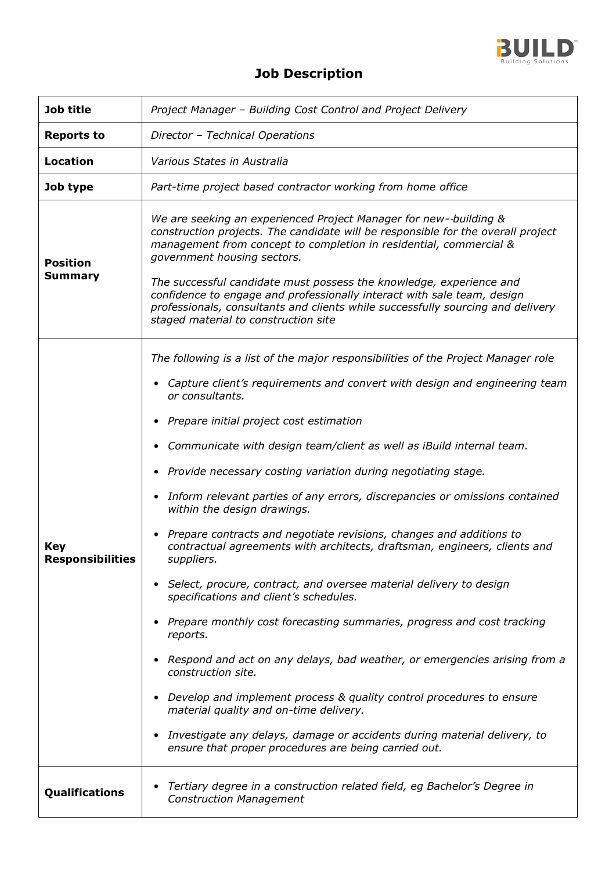

## **Job Description**

| Job title                         | Project Manager - Building Cost Control and Project Delivery                                                                                                                                                                                                                                                                                                                                                                                                                                                                                                                                                                                                                                                                                                                                                                                                                                                                                                                                                                                                                                                                                                                                                                                                                                                                                 |
|-----------------------------------|----------------------------------------------------------------------------------------------------------------------------------------------------------------------------------------------------------------------------------------------------------------------------------------------------------------------------------------------------------------------------------------------------------------------------------------------------------------------------------------------------------------------------------------------------------------------------------------------------------------------------------------------------------------------------------------------------------------------------------------------------------------------------------------------------------------------------------------------------------------------------------------------------------------------------------------------------------------------------------------------------------------------------------------------------------------------------------------------------------------------------------------------------------------------------------------------------------------------------------------------------------------------------------------------------------------------------------------------|
| <b>Reports to</b>                 | Director - Technical Operations                                                                                                                                                                                                                                                                                                                                                                                                                                                                                                                                                                                                                                                                                                                                                                                                                                                                                                                                                                                                                                                                                                                                                                                                                                                                                                              |
| <b>Location</b>                   | Various States in Australia                                                                                                                                                                                                                                                                                                                                                                                                                                                                                                                                                                                                                                                                                                                                                                                                                                                                                                                                                                                                                                                                                                                                                                                                                                                                                                                  |
| Job type                          | Part-time project based contractor working from home office                                                                                                                                                                                                                                                                                                                                                                                                                                                                                                                                                                                                                                                                                                                                                                                                                                                                                                                                                                                                                                                                                                                                                                                                                                                                                  |
| <b>Position</b><br><b>Summary</b> | We are seeking an experienced Project Manager for new--building &<br>construction projects. The candidate will be responsible for the overall project<br>management from concept to completion in residential, commercial &<br>government housing sectors.<br>The successful candidate must possess the knowledge, experience and<br>confidence to engage and professionally interact with sale team, design<br>professionals, consultants and clients while successfully sourcing and delivery<br>staged material to construction site                                                                                                                                                                                                                                                                                                                                                                                                                                                                                                                                                                                                                                                                                                                                                                                                      |
| Key<br>Responsibilities           | The following is a list of the major responsibilities of the Project Manager role<br>Capture client's requirements and convert with design and engineering team<br>$\bullet$<br>or consultants.<br>Prepare initial project cost estimation<br>$\bullet$<br>Communicate with design team/client as well as iBuild internal team.<br>$\bullet$<br>Provide necessary costing variation during negotiating stage.<br>$\bullet$<br>Inform relevant parties of any errors, discrepancies or omissions contained<br>$\bullet$<br>within the design drawings.<br>Prepare contracts and negotiate revisions, changes and additions to<br>$\bullet$<br>contractual agreements with architects, draftsman, engineers, clients and<br>suppliers.<br>• Select, procure, contract, and oversee material delivery to design<br>specifications and client's schedules.<br>Prepare monthly cost forecasting summaries, progress and cost tracking<br>reports.<br>Respond and act on any delays, bad weather, or emergencies arising from a<br>$\bullet$<br>construction site.<br>Develop and implement process & quality control procedures to ensure<br>$\bullet$<br>material quality and on-time delivery.<br>Investigate any delays, damage or accidents during material delivery, to<br>$\bullet$<br>ensure that proper procedures are being carried out. |
| Qualifications                    | Tertiary degree in a construction related field, eg Bachelor's Degree in<br><b>Construction Management</b>                                                                                                                                                                                                                                                                                                                                                                                                                                                                                                                                                                                                                                                                                                                                                                                                                                                                                                                                                                                                                                                                                                                                                                                                                                   |